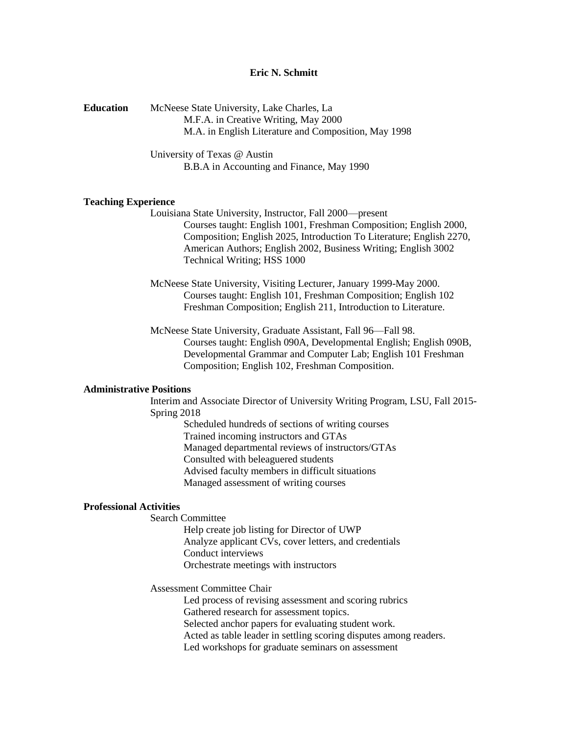# **Eric N. Schmitt**

| <b>Education</b> | McNeese State University, Lake Charles, La           |
|------------------|------------------------------------------------------|
|                  | M.F.A. in Creative Writing, May 2000                 |
|                  | M.A. in English Literature and Composition, May 1998 |

University of Texas @ Austin B.B.A in Accounting and Finance, May 1990

### **Teaching Experience**

Louisiana State University, Instructor, Fall 2000—present Courses taught: English 1001, Freshman Composition; English 2000, Composition; English 2025, Introduction To Literature; English 2270, American Authors; English 2002, Business Writing; English 3002 Technical Writing; HSS 1000

McNeese State University, Visiting Lecturer, January 1999-May 2000. Courses taught: English 101, Freshman Composition; English 102 Freshman Composition; English 211, Introduction to Literature.

McNeese State University, Graduate Assistant, Fall 96—Fall 98. Courses taught: English 090A, Developmental English; English 090B, Developmental Grammar and Computer Lab; English 101 Freshman Composition; English 102, Freshman Composition.

#### **Administrative Positions**

Interim and Associate Director of University Writing Program, LSU, Fall 2015- Spring 2018

> Scheduled hundreds of sections of writing courses Trained incoming instructors and GTAs Managed departmental reviews of instructors/GTAs Consulted with beleaguered students Advised faculty members in difficult situations Managed assessment of writing courses

## **Professional Activities**

Search Committee

Help create job listing for Director of UWP Analyze applicant CVs, cover letters, and credentials Conduct interviews Orchestrate meetings with instructors

Assessment Committee Chair

Led process of revising assessment and scoring rubrics Gathered research for assessment topics. Selected anchor papers for evaluating student work. Acted as table leader in settling scoring disputes among readers. Led workshops for graduate seminars on assessment